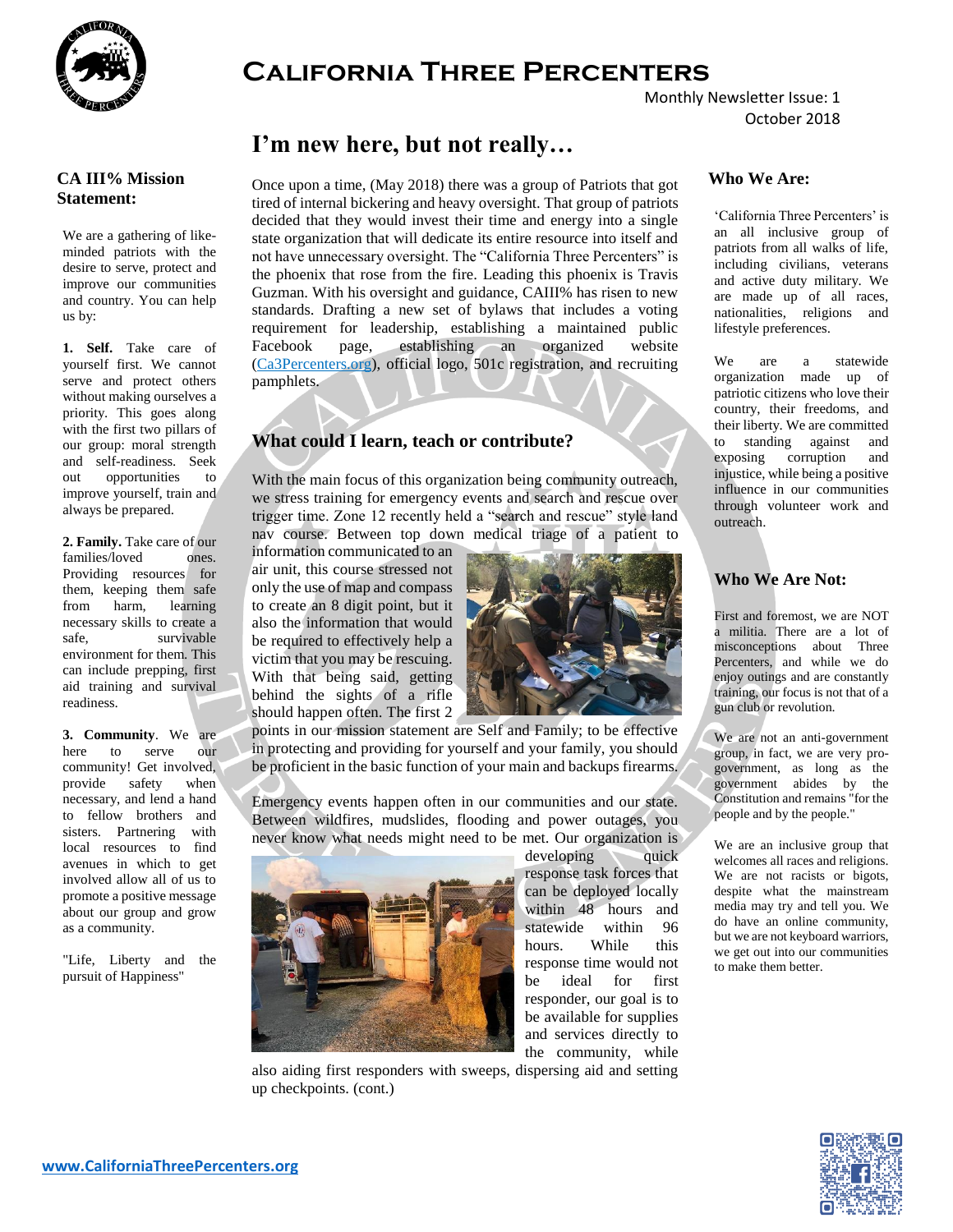

#### **CA III% Mission Statement:**

We are a gathering of likeminded patriots with the desire to serve, protect and improve our communities and country. You can help us by:

1. **1. Self.** Take care of yourself first. We cannot serve and protect others without making ourselves a priority. This goes along with the first two pillars of our group: moral strength and self-readiness. Seek out opportunities to improve yourself, train and always be prepared.

3. **2. Family.** Take care of our families/loved ones. Providing resources for them, keeping them safe from harm, learning necessary skills to create a safe, survivable environment for them. This can include prepping, first aid training and survival readiness.

5. **3. Community**. We are here to serve our community! Get involved, provide safety when necessary, and lend a hand to fellow brothers and sisters. Partnering with local resources to find avenues in which to get involved allow all of us to promote a positive message about our group and grow as a community.

"Life, Liberty and the pursuit of Happiness"

# **California Three Percenters**

Monthly Newsletter Issue: 1 October 2018

## **I'm new here, but not really…**

Once upon a time, (May 2018) there was a group of Patriots that got tired of internal bickering and heavy oversight. That group of patriots decided that they would invest their time and energy into a single state organization that will dedicate its entire resource into itself and not have unnecessary oversight. The "California Three Percenters" is the phoenix that rose from the fire. Leading this phoenix is Travis Guzman. With his oversight and guidance, CAIII% has risen to new standards. Drafting a new set of bylaws that includes a voting requirement for leadership, establishing a maintained public Facebook page, establishing an organized website (Ca3Percenters.org), official logo, 501c registration, and recruiting pamphlets.

## **What could I learn, teach or contribute?**

With the main focus of this organization being community outreach, we stress training for emergency events and search and rescue over trigger time. Zone 12 recently held a "search and rescue" style land nav course. Between top down medical triage of a patient to

information communicated to an air unit, this course stressed not only the use of map and compass to create an 8 digit point, but it also the information that would be required to effectively help a victim that you may be rescuing. With that being said, getting behind the sights of a rifle should happen often. The first 2



points in our mission statement are Self and Family; to be effective in protecting and providing for yourself and your family, you should be proficient in the basic function of your main and backups firearms.

Emergency events happen often in our communities and our state. Between wildfires, mudslides, flooding and power outages, you never know what needs might need to be met. Our organization is



developing quick response task forces that can be deployed locally within 48 hours and statewide within 96 hours. While this response time would not be ideal for first responder, our goal is to be available for supplies and services directly to the community, while

also aiding first responders with sweeps, dispersing aid and setting up checkpoints. (cont.)

### **Who We Are:**

'California Three Percenters' is an all inclusive group of patriots from all walks of life, including civilians, veterans and active duty military. We are made up of all races, nationalities, religions and lifestyle preferences.

We are a statewide organization made up of patriotic citizens who love their country, their freedoms, and their liberty. We are committed to standing against and exposing corruption and injustice, while being a positive influence in our communities through volunteer work and outreach.

#### **Who We Are Not:**

First and foremost, we are NOT a militia. There are a lot of misconceptions about Three Percenters, and while we do enjoy outings and are constantly training, our focus is not that of a gun club or revolution.

We are not an anti-government group, in fact, we are very progovernment, as long as the government abides by the Constitution and remains "for the people and by the people."

We are an inclusive group that welcomes all races and religions. We are not racists or bigots, despite what the mainstream media may try and tell you. We do have an online community, but we are not keyboard warriors, we get out into our communities to make them better.

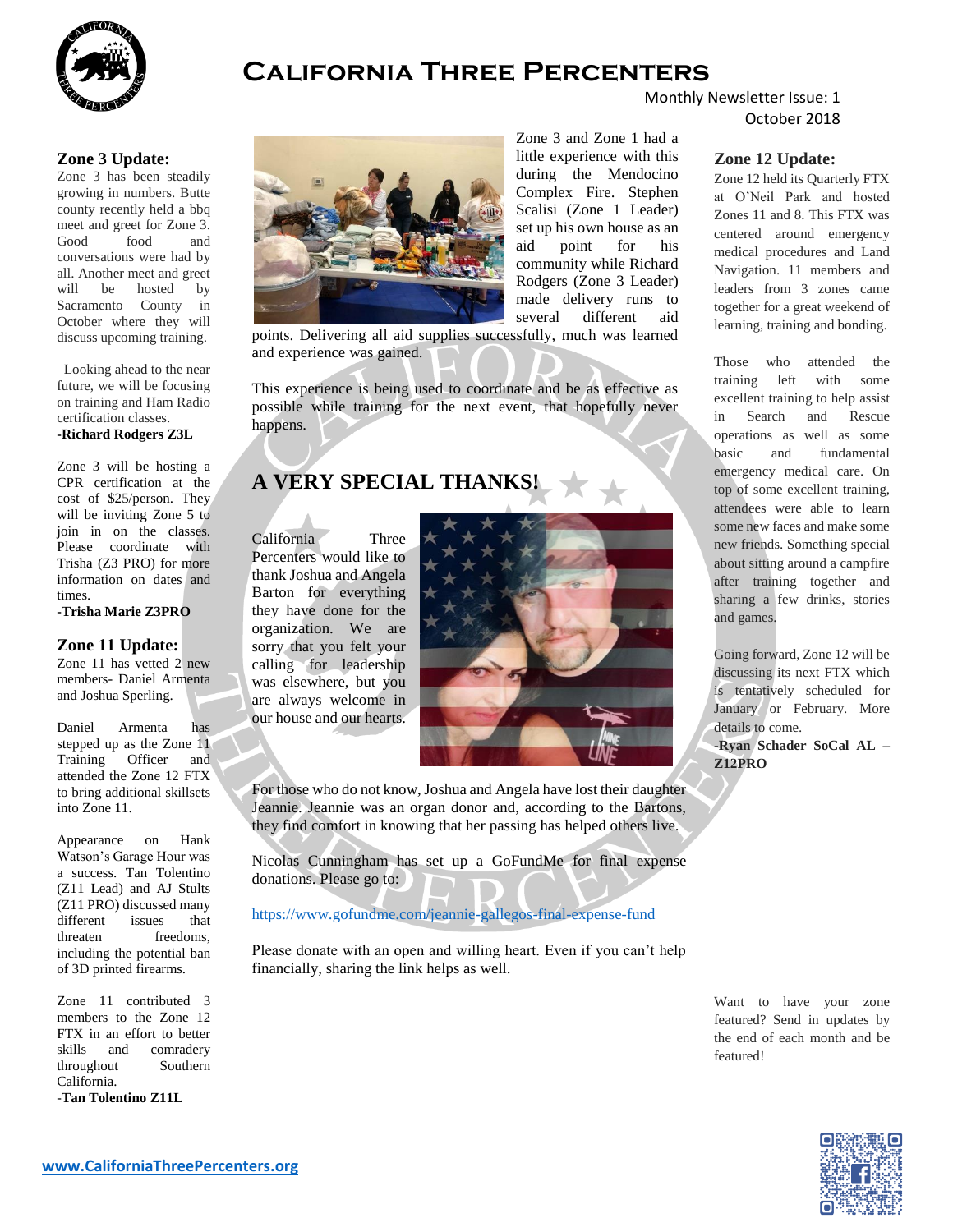

## **California Three Percenters**

Monthly Newsletter Issue: 1 October 2018

#### **Zone 3 Update:**

Zone 3 has been steadily growing in numbers. Butte county recently held a bbq meet and greet for Zone 3. Good food and conversations were had by all. Another meet and greet will be hosted by Sacramento County in October where they will discuss upcoming training.

Looking ahead to the near future, we will be focusing on training and Ham Radio certification classes.

#### **-Richard Rodgers Z3L**

Zone 3 will be hosting a CPR certification at the cost of \$25/person. They will be inviting Zone 5 to join in on the classes. Please coordinate with Trisha (Z3 PRO) for more information on dates and times.

**-Trisha Marie Z3PRO**

#### **Zone 11 Update:**

Zone 11 has vetted 2 new members- Daniel Armenta and Joshua Sperling.

Daniel Armenta has stepped up as the Zone 11 Training Officer and attended the Zone 12 FTX to bring additional skillsets into Zone 11.

Appearance on Hank Watson's Garage Hour was a success. Tan Tolentino (Z11 Lead) and AJ Stults (Z11 PRO) discussed many different issues that threaten freedoms, including the potential ban of 3D printed firearms.

Zone 11 contributed 3 members to the Zone 12 FTX in an effort to better skills and comradery throughout Southern California.

-**Tan Tolentino Z11L**



Zone 3 and Zone 1 had a little experience with this during the Mendocino Complex Fire. Stephen Scalisi (Zone 1 Leader) set up his own house as an aid point for his community while Richard Rodgers (Zone 3 Leader) made delivery runs to several different aid

points. Delivering all aid supplies successfully, much was learned and experience was gained.

This experience is being used to coordinate and be as effective as possible while training for the next event, that hopefully never happens.

## **A VERY SPECIAL THANKS!**

California Three Percenters would like to thank Joshua and Angela Barton for everything they have done for the organization. We are sorry that you felt your calling for leadership was elsewhere, but you are always welcome in our house and our hearts.



For those who do not know, Joshua and Angela have lost their daughter Jeannie. Jeannie was an organ donor and, according to the Bartons, they find comfort in knowing that her passing has helped others live.

Nicolas Cunningham has set up a GoFundMe for final expense donations. Please go to:

<https://www.gofundme.com/jeannie-gallegos-final-expense-fund>

Please donate with an open and willing heart. Even if you can't help financially, sharing the link helps as well.

#### **Zone 12 Update:**

Zone 12 held its Quarterly FTX at O'Neil Park and hosted Zones 11 and 8. This FTX was centered around emergency medical procedures and Land Navigation. 11 members and leaders from 3 zones came together for a great weekend of learning, training and bonding.

Those who attended the training left with some excellent training to help assist in Search and Rescue operations as well as some basic and fundamental emergency medical care. On top of some excellent training, attendees were able to learn some new faces and make some new friends. Something special about sitting around a campfire after training together and sharing a few drinks, stories and games.

Going forward, Zone 12 will be discussing its next FTX which is tentatively scheduled for January or February. More details to come.

**-Ryan Schader SoCal AL – Z12PRO**

Want to have your zone featured? Send in updates by the end of each month and be featured!